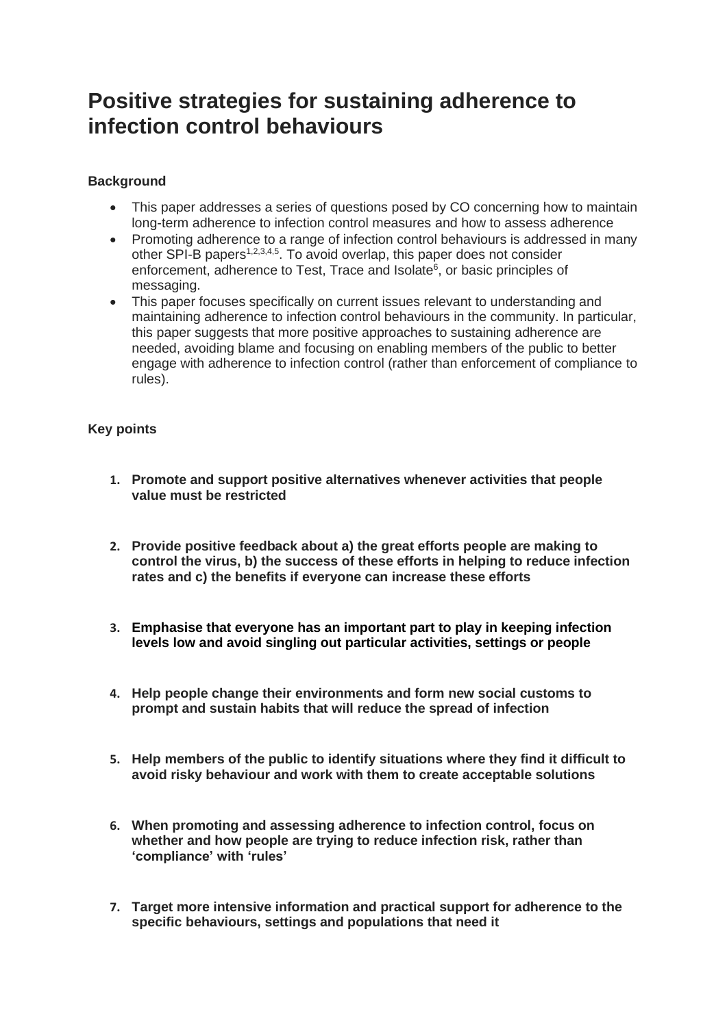# **Positive strategies for sustaining adherence to infection control behaviours**

# **Background**

- This paper addresses a series of questions posed by CO concerning how to maintain long-term adherence to infection control measures and how to assess adherence
- Promoting adherence to a range of infection control behaviours is addressed in many other SPI-B papers<sup>1,2,3,4,5</sup>. To avoid overlap, this paper does not consider enforcement, adherence to Test, Trace and Isolate<sup>6</sup>, or basic principles of messaging.
- This paper focuses specifically on current issues relevant to understanding and maintaining adherence to infection control behaviours in the community. In particular, this paper suggests that more positive approaches to sustaining adherence are needed, avoiding blame and focusing on enabling members of the public to better engage with adherence to infection control (rather than enforcement of compliance to rules).

# **Key points**

- **1. Promote and support positive alternatives whenever activities that people value must be restricted**
- **2. Provide positive feedback about a) the great efforts people are making to control the virus, b) the success of these efforts in helping to reduce infection rates and c) the benefits if everyone can increase these efforts**
- **3. Emphasise that everyone has an important part to play in keeping infection levels low and avoid singling out particular activities, settings or people**
- **4. Help people change their environments and form new social customs to prompt and sustain habits that will reduce the spread of infection**
- **5. Help members of the public to identify situations where they find it difficult to avoid risky behaviour and work with them to create acceptable solutions**
- **6. When promoting and assessing adherence to infection control, focus on whether and how people are trying to reduce infection risk, rather than 'compliance' with 'rules'**
- **7. Target more intensive information and practical support for adherence to the specific behaviours, settings and populations that need it**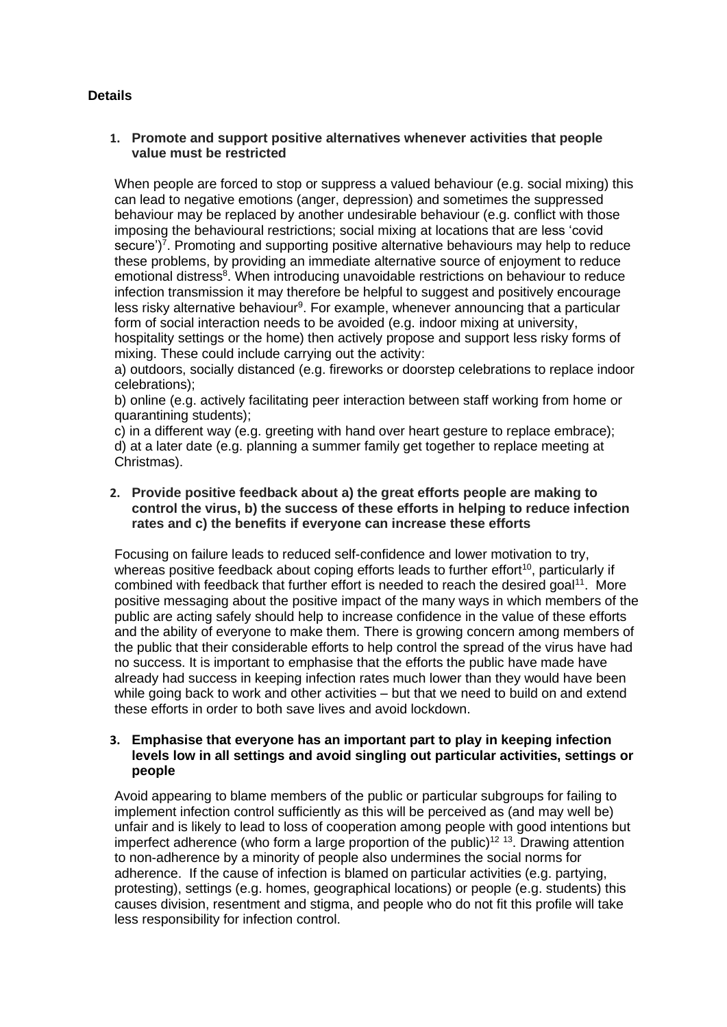# **Details**

# **1. Promote and support positive alternatives whenever activities that people value must be restricted**

When people are forced to stop or suppress a valued behaviour (e.g. social mixing) this can lead to negative emotions (anger, depression) and sometimes the suppressed behaviour may be replaced by another undesirable behaviour (e.g. conflict with those imposing the behavioural restrictions; social mixing at locations that are less 'covid secure')<sup>7</sup>. Promoting and supporting positive alternative behaviours may help to reduce these problems, by providing an immediate alternative source of enjoyment to reduce emotional distress<sup>8</sup>. When introducing unavoidable restrictions on behaviour to reduce infection transmission it may therefore be helpful to suggest and positively encourage less risky alternative behaviour<sup>9</sup>. For example, whenever announcing that a particular form of social interaction needs to be avoided (e.g. indoor mixing at university, hospitality settings or the home) then actively propose and support less risky forms of mixing. These could include carrying out the activity:

a) outdoors, socially distanced (e.g. fireworks or doorstep celebrations to replace indoor celebrations);

b) online (e.g. actively facilitating peer interaction between staff working from home or quarantining students);

c) in a different way (e.g. greeting with hand over heart gesture to replace embrace); d) at a later date (e.g. planning a summer family get together to replace meeting at Christmas).

## **2. Provide positive feedback about a) the great efforts people are making to control the virus, b) the success of these efforts in helping to reduce infection rates and c) the benefits if everyone can increase these efforts**

Focusing on failure leads to reduced self-confidence and lower motivation to try, whereas positive feedback about coping efforts leads to further effort<sup>10</sup>, particularly if combined with feedback that further effort is needed to reach the desired goal<sup>11</sup>. More positive messaging about the positive impact of the many ways in which members of the public are acting safely should help to increase confidence in the value of these efforts and the ability of everyone to make them. There is growing concern among members of the public that their considerable efforts to help control the spread of the virus have had no success. It is important to emphasise that the efforts the public have made have already had success in keeping infection rates much lower than they would have been while going back to work and other activities – but that we need to build on and extend these efforts in order to both save lives and avoid lockdown.

## **3. Emphasise that everyone has an important part to play in keeping infection levels low in all settings and avoid singling out particular activities, settings or people**

Avoid appearing to blame members of the public or particular subgroups for failing to implement infection control sufficiently as this will be perceived as (and may well be) unfair and is likely to lead to loss of cooperation among people with good intentions but imperfect adherence (who form a large proportion of the public)<sup>12 13</sup>. Drawing attention to non-adherence by a minority of people also undermines the social norms for adherence. If the cause of infection is blamed on particular activities (e.g. partying, protesting), settings (e.g. homes, geographical locations) or people (e.g. students) this causes division, resentment and stigma, and people who do not fit this profile will take less responsibility for infection control.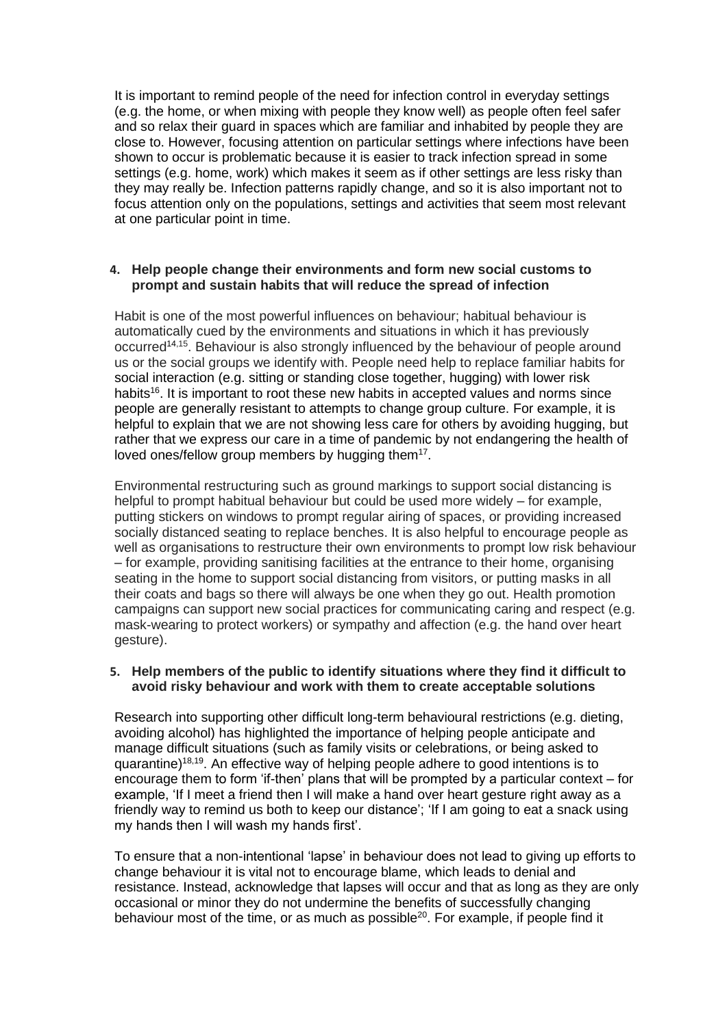It is important to remind people of the need for infection control in everyday settings (e.g. the home, or when mixing with people they know well) as people often feel safer and so relax their guard in spaces which are familiar and inhabited by people they are close to. However, focusing attention on particular settings where infections have been shown to occur is problematic because it is easier to track infection spread in some settings (e.g. home, work) which makes it seem as if other settings are less risky than they may really be. Infection patterns rapidly change, and so it is also important not to focus attention only on the populations, settings and activities that seem most relevant at one particular point in time.

#### **4. Help people change their environments and form new social customs to prompt and sustain habits that will reduce the spread of infection**

Habit is one of the most powerful influences on behaviour; habitual behaviour is automatically cued by the environments and situations in which it has previously occurred<sup>14,15</sup>. Behaviour is also strongly influenced by the behaviour of people around us or the social groups we identify with. People need help to replace familiar habits for social interaction (e.g. sitting or standing close together, hugging) with lower risk habits<sup>16</sup>. It is important to root these new habits in accepted values and norms since people are generally resistant to attempts to change group culture. For example, it is helpful to explain that we are not showing less care for others by avoiding hugging, but rather that we express our care in a time of pandemic by not endangering the health of loved ones/fellow group members by hugging them<sup>17</sup>.

Environmental restructuring such as ground markings to support social distancing is helpful to prompt habitual behaviour but could be used more widely – for example, putting stickers on windows to prompt regular airing of spaces, or providing increased socially distanced seating to replace benches. It is also helpful to encourage people as well as organisations to restructure their own environments to prompt low risk behaviour – for example, providing sanitising facilities at the entrance to their home, organising seating in the home to support social distancing from visitors, or putting masks in all their coats and bags so there will always be one when they go out. Health promotion campaigns can support new social practices for communicating caring and respect (e.g. mask-wearing to protect workers) or sympathy and affection (e.g. the hand over heart gesture).

#### **5. Help members of the public to identify situations where they find it difficult to avoid risky behaviour and work with them to create acceptable solutions**

Research into supporting other difficult long-term behavioural restrictions (e.g. dieting, avoiding alcohol) has highlighted the importance of helping people anticipate and manage difficult situations (such as family visits or celebrations, or being asked to quarantine)<sup>18,19</sup>. An effective way of helping people adhere to good intentions is to encourage them to form 'if-then' plans that will be prompted by a particular context – for example, 'If I meet a friend then I will make a hand over heart gesture right away as a friendly way to remind us both to keep our distance'; 'If I am going to eat a snack using my hands then I will wash my hands first'.

To ensure that a non-intentional 'lapse' in behaviour does not lead to giving up efforts to change behaviour it is vital not to encourage blame, which leads to denial and resistance. Instead, acknowledge that lapses will occur and that as long as they are only occasional or minor they do not undermine the benefits of successfully changing behaviour most of the time, or as much as possible<sup>20</sup>. For example, if people find it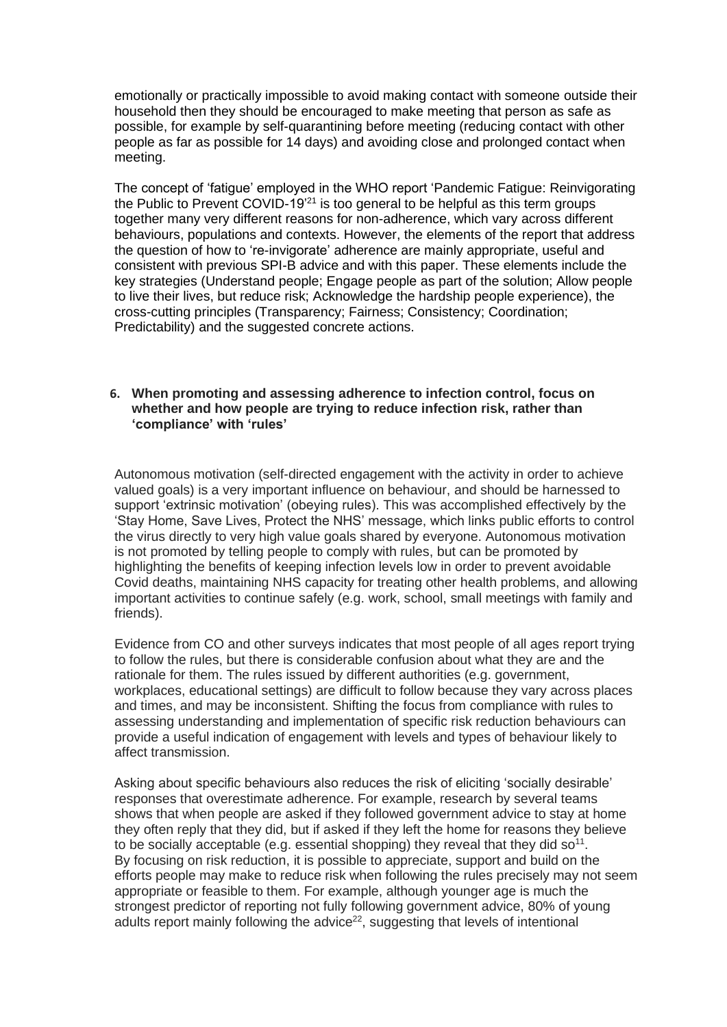emotionally or practically impossible to avoid making contact with someone outside their household then they should be encouraged to make meeting that person as safe as possible, for example by self-quarantining before meeting (reducing contact with other people as far as possible for 14 days) and avoiding close and prolonged contact when meeting.

The concept of 'fatigue' employed in the WHO report 'Pandemic Fatigue: Reinvigorating the Public to Prevent COVID-19'<sup>21</sup> is too general to be helpful as this term groups together many very different reasons for non-adherence, which vary across different behaviours, populations and contexts. However, the elements of the report that address the question of how to 're-invigorate' adherence are mainly appropriate, useful and consistent with previous SPI-B advice and with this paper. These elements include the key strategies (Understand people; Engage people as part of the solution; Allow people to live their lives, but reduce risk; Acknowledge the hardship people experience), the cross-cutting principles (Transparency; Fairness; Consistency; Coordination; Predictability) and the suggested concrete actions.

#### **6. When promoting and assessing adherence to infection control, focus on whether and how people are trying to reduce infection risk, rather than 'compliance' with 'rules'**

Autonomous motivation (self-directed engagement with the activity in order to achieve valued goals) is a very important influence on behaviour, and should be harnessed to support 'extrinsic motivation' (obeying rules). This was accomplished effectively by the 'Stay Home, Save Lives, Protect the NHS' message, which links public efforts to control the virus directly to very high value goals shared by everyone. Autonomous motivation is not promoted by telling people to comply with rules, but can be promoted by highlighting the benefits of keeping infection levels low in order to prevent avoidable Covid deaths, maintaining NHS capacity for treating other health problems, and allowing important activities to continue safely (e.g. work, school, small meetings with family and friends).

Evidence from CO and other surveys indicates that most people of all ages report trying to follow the rules, but there is considerable confusion about what they are and the rationale for them. The rules issued by different authorities (e.g. government, workplaces, educational settings) are difficult to follow because they vary across places and times, and may be inconsistent. Shifting the focus from compliance with rules to assessing understanding and implementation of specific risk reduction behaviours can provide a useful indication of engagement with levels and types of behaviour likely to affect transmission.

Asking about specific behaviours also reduces the risk of eliciting 'socially desirable' responses that overestimate adherence. For example, research by several teams shows that when people are asked if they followed government advice to stay at home they often reply that they did, but if asked if they left the home for reasons they believe to be socially acceptable (e.g. essential shopping) they reveal that they did so<sup>11</sup>. By focusing on risk reduction, it is possible to appreciate, support and build on the efforts people may make to reduce risk when following the rules precisely may not seem appropriate or feasible to them. For example, although younger age is much the strongest predictor of reporting not fully following government advice, 80% of young adults report mainly following the advice<sup>22</sup>, suggesting that levels of intentional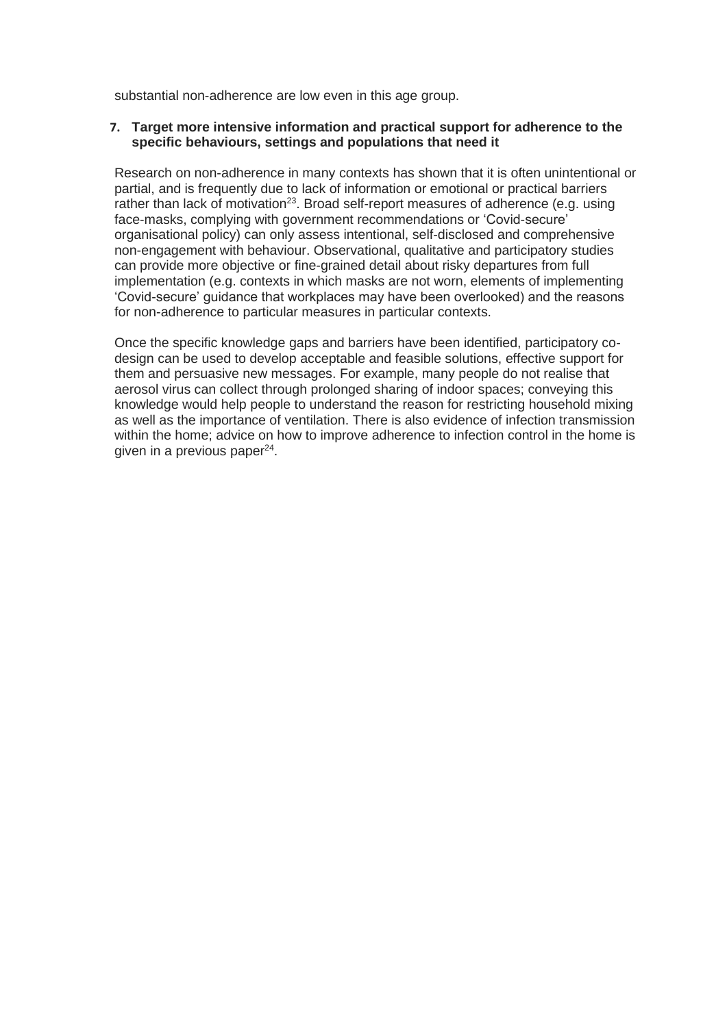substantial non-adherence are low even in this age group.

#### **7. Target more intensive information and practical support for adherence to the specific behaviours, settings and populations that need it**

Research on non-adherence in many contexts has shown that it is often unintentional or partial, and is frequently due to lack of information or emotional or practical barriers rather than lack of motivation<sup>23</sup>. Broad self-report measures of adherence (e.g. using face-masks, complying with government recommendations or 'Covid-secure' organisational policy) can only assess intentional, self-disclosed and comprehensive non-engagement with behaviour. Observational, qualitative and participatory studies can provide more objective or fine-grained detail about risky departures from full implementation (e.g. contexts in which masks are not worn, elements of implementing 'Covid-secure' guidance that workplaces may have been overlooked) and the reasons for non-adherence to particular measures in particular contexts.

Once the specific knowledge gaps and barriers have been identified, participatory codesign can be used to develop acceptable and feasible solutions, effective support for them and persuasive new messages. For example, many people do not realise that aerosol virus can collect through prolonged sharing of indoor spaces; conveying this knowledge would help people to understand the reason for restricting household mixing as well as the importance of ventilation. There is also evidence of infection transmission within the home; advice on how to improve adherence to infection control in the home is given in a previous paper<sup>24</sup>.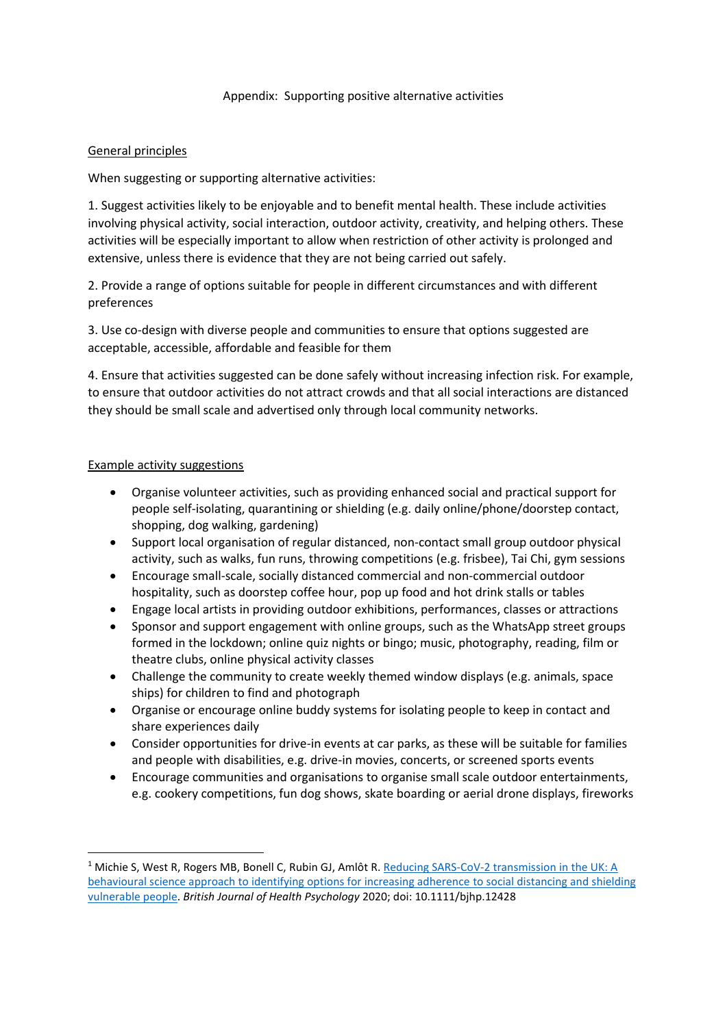#### Appendix: Supporting positive alternative activities

## General principles

When suggesting or supporting alternative activities:

1. Suggest activities likely to be enjoyable and to benefit mental health. These include activities involving physical activity, social interaction, outdoor activity, creativity, and helping others. These activities will be especially important to allow when restriction of other activity is prolonged and extensive, unless there is evidence that they are not being carried out safely.

2. Provide a range of options suitable for people in different circumstances and with different preferences

3. Use co-design with diverse people and communities to ensure that options suggested are acceptable, accessible, affordable and feasible for them

4. Ensure that activities suggested can be done safely without increasing infection risk. For example, to ensure that outdoor activities do not attract crowds and that all social interactions are distanced they should be small scale and advertised only through local community networks.

#### Example activity suggestions

- Organise volunteer activities, such as providing enhanced social and practical support for people self-isolating, quarantining or shielding (e.g. daily online/phone/doorstep contact, shopping, dog walking, gardening)
- Support local organisation of regular distanced, non-contact small group outdoor physical activity, such as walks, fun runs, throwing competitions (e.g. frisbee), Tai Chi, gym sessions
- Encourage small-scale, socially distanced commercial and non-commercial outdoor hospitality, such as doorstep coffee hour, pop up food and hot drink stalls or tables
- Engage local artists in providing outdoor exhibitions, performances, classes or attractions
- Sponsor and support engagement with online groups, such as the WhatsApp street groups formed in the lockdown; online quiz nights or bingo; music, photography, reading, film or theatre clubs, online physical activity classes
- Challenge the community to create weekly themed window displays (e.g. animals, space ships) for children to find and photograph
- Organise or encourage online buddy systems for isolating people to keep in contact and share experiences daily
- Consider opportunities for drive-in events at car parks, as these will be suitable for families and people with disabilities, e.g. drive-in movies, concerts, or screened sports events
- Encourage communities and organisations to organise small scale outdoor entertainments, e.g. cookery competitions, fun dog shows, skate boarding or aerial drone displays, fireworks

<sup>&</sup>lt;sup>1</sup> Michie S, West R, Rogers MB, Bonell C, Rubin GJ, Amlôt R. Reducing SARS-CoV-2 transmission in the UK: A [behavioural science approach to identifying options for increasing adherence](https://onlinelibrary.wiley.com/doi/full/10.1111/bjhp.12428) to social distancing and shielding [vulnerable people.](https://onlinelibrary.wiley.com/doi/full/10.1111/bjhp.12428) *British Journal of Health Psychology* 2020; doi: 10.1111/bjhp.12428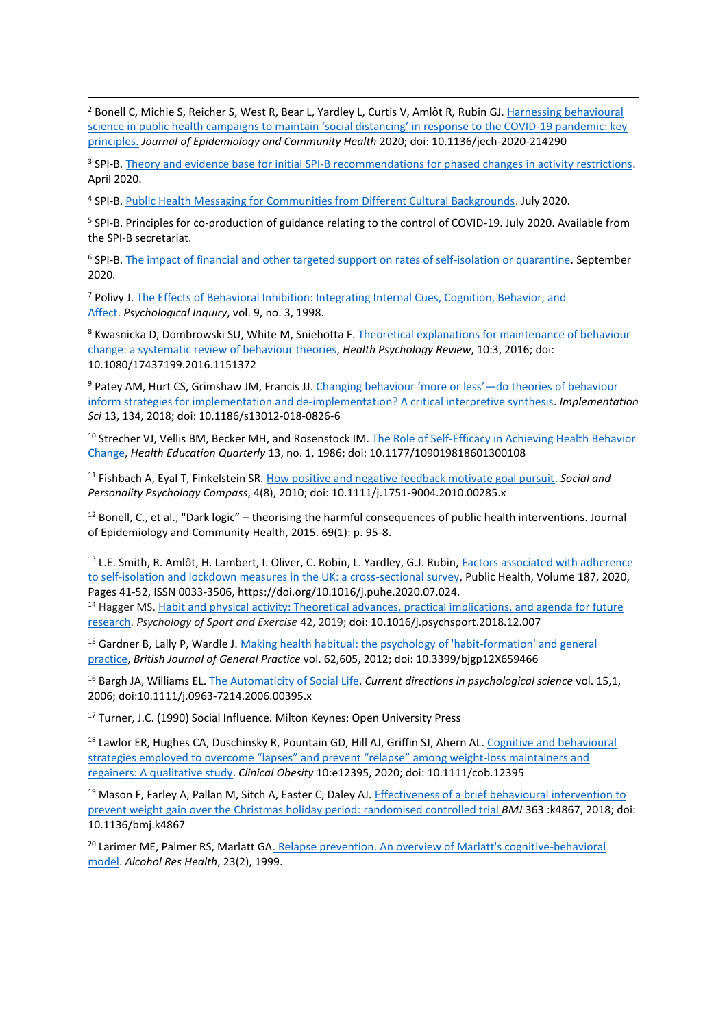<sup>2</sup> Bonell C, Michie S, Reicher S, West R, Bear L, Yardley L, Curtis V, Amlôt R, Rubin GJ. Harnessing behavioural [science in public health campaigns to maintain 'social distancing' in response to the COVID](https://jech.bmj.com/content/jech/early/2020/05/07/jech-2020-214290.full.pdf)-19 pandemic: key [principles.](https://jech.bmj.com/content/jech/early/2020/05/07/jech-2020-214290.full.pdf) *Journal of Epidemiology and Community Health* 2020; doi: 10.1136/jech-2020-214290

<sup>3</sup> SPI-B. [Theory and evidence base for initial SPI-B recommendations for phased changes in activity restrictions.](https://assets.publishing.service.gov.uk/government/uploads/system/uploads/attachment_data/file/892031/S0470_Theory_and_evidence_base_for_initial_SPI-B_recommendations_for_phased_changes_in_activity_restrictions.pdf) April 2020.

<sup>4</sup> SPI-B. [Public Health Messaging for Communities from Different Cultural Backgrounds.](https://assets.publishing.service.gov.uk/government/uploads/system/uploads/attachment_data/file/914924/s0649-public-health-messaging-bame-communities.pdf) July 2020.

<sup>5</sup> SPI-B. Principles for co-production of guidance relating to the control of COVID-19. July 2020. Available from the SPI-B secretariat.

<sup>6</sup> SPI-B. [The impact of financial and other targeted support on rates of self-isolation or quarantine.](https://www.gov.uk/government/publications/spi-b-impact-of-financial-and-other-targeted-support-on-rates-of-self-isolation-or-quarantine-16-september-2020) September 2020.

<sup>7</sup> Polivy J. [The Effects of Behavioral Inhibition: Integrating Internal Cues, Cognition, Behavior, and](https://www.jstor.org/stable/1449553?seq=1)  [Affect.](https://www.jstor.org/stable/1449553?seq=1) *Psychological Inquiry*, vol. 9, no. 3, 1998.

8 Kwasnicka D, Dombrowski SU, White M, Sniehotta F. Theoretical explanations for maintenance of behaviour change: a [systematic review of behaviour theories,](https://www.tandfonline.com/doi/pdf/10.1080/17437199.2016.1151372) *Health Psychology Review*, 10:3, 2016; doi: 10.1080/17437199.2016.1151372

<sup>9</sup> Patey AM, Hurt CS, Grimshaw JM, Francis JJ. [Changing behaviour 'more or less'—](https://implementationscience.biomedcentral.com/articles/10.1186/s13012-018-0826-6)do theories of behaviour [inform strategies for implementation and de-implementation? A critical interpretive synthesis.](https://implementationscience.biomedcentral.com/articles/10.1186/s13012-018-0826-6) *Implementation Sci* 13, 134, 2018; doi: 10.1186/s13012-018-0826-6

<sup>10</sup> Strecher VJ, Vellis BM, Becker MH, and Rosenstock IM. The Role of Self-Efficacy in Achieving Health Behavior [Change,](https://journals.sagepub.com/doi/10.1177/109019818601300108) *Health Education Quarterly* 13, no. 1, 1986; doi: 10.1177/109019818601300108

<sup>11</sup> Fishbach A, Eyal T, Finkelstein SR. [How positive and negative feedback motivate goal pursuit.](https://psycnet.apa.org/record/2010-16199-002) *Social and Personality Psychology Compass*, 4(8), 2010; doi: 10.1111/j.1751-9004.2010.00285.x

<sup>12</sup> Bonell, C., et al., "Dark logic" – theorising the harmful consequences of public health interventions. Journal of Epidemiology and Community Health, 2015. 69(1): p. 95-8.

<sup>13</sup> L.E. Smith, R. Amlôt, H. Lambert, I. Oliver, C. Robin, L. Yardley, G.J. Rubin, Factors associated with adherence [to self-isolation and lockdown measures in the UK: a cross-sectional survey,](https://www.sciencedirect.com/science/article/pii/S003335062030319X?via%3Dihub) Public Health, Volume 187, 2020, Pages 41-52, ISSN 0033-3506, https://doi.org/10.1016/j.puhe.2020.07.024.

<sup>14</sup> Hagger MS. Habit and physical activity: Theoretical advances, practical implications, and agenda for future [research.](https://www.sciencedirect.com/science/article/abs/pii/S1469029218305867) *Psychology of Sport and Exercise* 42, 2019; doi: 10.1016/j.psychsport.2018.12.007

<sup>15</sup> Gardner B, Lally P, Wardle J. Making health habitual: the psychology of 'habit-formation' and general [practice,](https://www.ncbi.nlm.nih.gov/pmc/articles/PMC3505409/) *British Journal of General Practice* vol. 62,605, 2012; doi: 10.3399/bjgp12X659466

<sup>16</sup> Bargh JA, Williams EL[. The Automaticity of Social Life.](https://www.ncbi.nlm.nih.gov/pmc/articles/PMC2435044/) *Current directions in psychological science* vol. 15,1, 2006; doi:10.1111/j.0963-7214.2006.00395.x

<sup>17</sup> Turner, J.C. (1990) Social Influence. Milton Keynes: Open University Press

<sup>18</sup> Lawlor ER, Hughes CA, Duschinsky R, Pountain GD, Hill AJ, Griffin SJ, Ahern AL. Cognitive and behavioural [strategies employed to overcome "lapses" and prevent "relapse" among weight‐loss maintainers and](https://onlinelibrary.wiley.com/doi/full/10.1111/cob.12395)  [regainers: A qualitative study.](https://onlinelibrary.wiley.com/doi/full/10.1111/cob.12395) *Clinical Obesity* 10:e12395, 2020; doi: 10.1111/cob.12395

<sup>19</sup> Mason F, Farley A, Pallan M, Sitch A, Easter C, Daley AJ. Effectiveness of a brief behavioural intervention to [prevent weight gain over the Christmas holiday period: randomised controlled trial](https://www.bmj.com/content/363/bmj.k4867) *BMJ* 363 :k4867, 2018; doi: 10.1136/bmj.k4867

<sup>20</sup> Larimer ME, Palmer RS, Marlatt GA. Relapse prevention. An overview of Marlatt's cognitive-behavioral [model.](https://pubmed.ncbi.nlm.nih.gov/10890810/) *Alcohol Res Health*, 23(2), 1999.